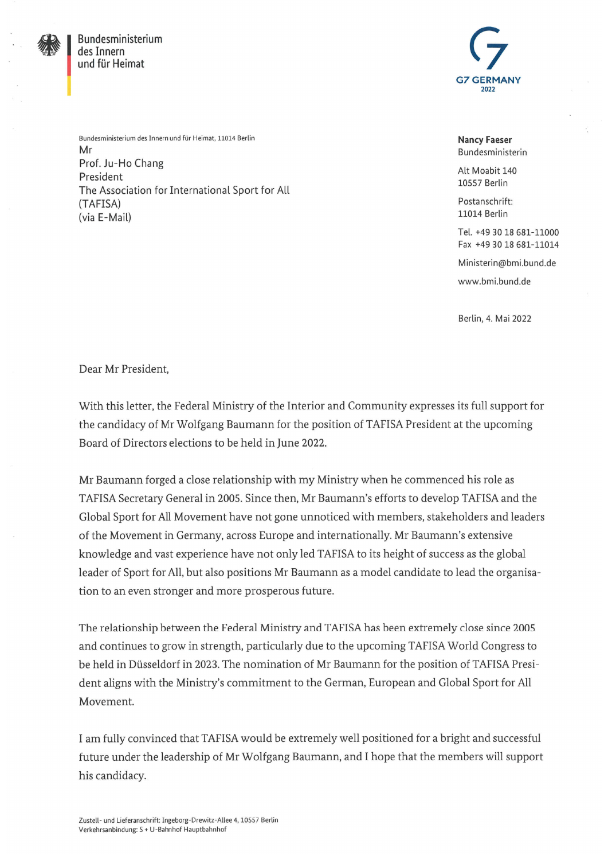

Bundesn<br>des Inne<br>und für l Bundesministerium des Innern und für Heimat



Bundesministerium des Innern und für Heimat, 11014 Berlin Nancy Faeser auch an Europe Berlin Nancy Faeser Mr Bundesministerin Prof. Ju-Ho Chang President The Association for International Sport for All (TAFISA) Postanschrift: (TAFISA) Postanschrift: (TAFISA) Postanschrift: (Particle of the Postanschrift: (Particle of the Postanschrift: (Particle of the Postanschrift: (Particle of the Postanschrift: (Particle of the Posta (via E-Mail) 11014 Berlin

Alt Moabit 140 10557 Berlin

Tel. +49 30 18 681-11000 Fax +49 30 18 681-11014

Ministerin@bmi.bund.de

www.bmi.bund.de

Berlin, 4. Mai 2022

Dear Mr President,

With this letter, the Federal Ministry of the Interior and Community expresses its full support for the candidacy of Mr Wolfgang Baumann for the position of TAFISA President at the upcoming Board of Directors elections to be held in June 2022.

Mr Baumann forged a close relationship with my Ministry when he commenced his role as TAFISA Secretary General in 2005. Since then, Mr Baumann's efforts to develop TAFISA and the Global Sport for All Movement have not gone unnoticed with members, stakeholders and leaders of the Movement in Germany, across Europe and internationally. Mr Baumann's extensive knowledge and vast experience have not only led TAFISA to its height of success as the global leader of Sport for All, but also positions Mr Baumann as a model candidate to lead the organisation to an even stronger and more prosperous future.

The relationship between the Federal Ministry and TAFISA has been extremely close since 2005 and continues to grow in strength, particularly due to the upcoming TAFISA World Congress to be held in Düsseldorf in 2023. The nomination of Mr Baumann for the position of TAFISA President aligns with the Ministry's commitment to the German, European and Global Sport for All Movement.

I am fully convinced that TAFISA would be extremely well positioned for a bright and successful future under the leadership of Mr Wolfgang Baumann, and I hope that the members will support his candidacy.